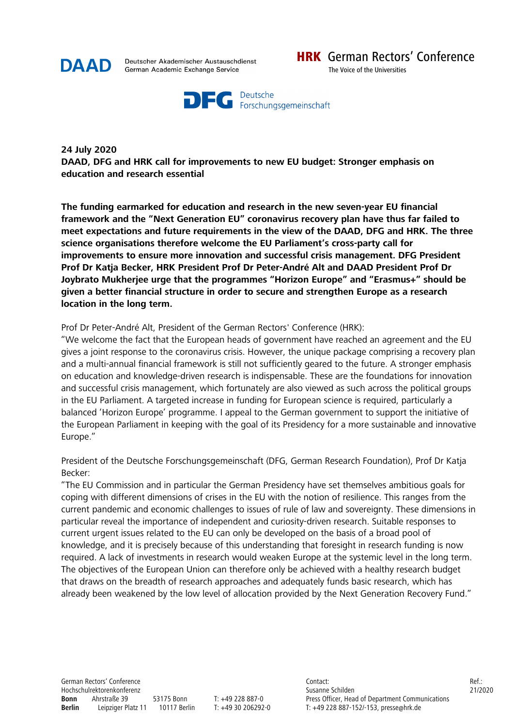

Deutscher Akademischer Austauschdienst German Academic Exchange Service



**24 July 2020 DAAD, DFG and HRK call for improvements to new EU budget: Stronger emphasis on education and research essential** 

**The funding earmarked for education and research in the new seven-year EU financial framework and the "Next Generation EU" coronavirus recovery plan have thus far failed to meet expectations and future requirements in the view of the DAAD, DFG and HRK. The three science organisations therefore welcome the EU Parliament's cross-party call for improvements to ensure more innovation and successful crisis management. DFG President Prof Dr Katja Becker, HRK President Prof Dr Peter-André Alt and DAAD President Prof Dr Joybrato Mukherjee urge that the programmes "Horizon Europe" and "Erasmus+" should be given a better financial structure in order to secure and strengthen Europe as a research location in the long term.** 

## Prof Dr Peter-André Alt, President of the German Rectors' Conference (HRK):

"We welcome the fact that the European heads of government have reached an agreement and the EU gives a joint response to the coronavirus crisis. However, the unique package comprising a recovery plan and a multi-annual financial framework is still not sufficiently geared to the future. A stronger emphasis on education and knowledge-driven research is indispensable. These are the foundations for innovation and successful crisis management, which fortunately are also viewed as such across the political groups in the EU Parliament. A targeted increase in funding for European science is required, particularly a balanced 'Horizon Europe' programme. I appeal to the German government to support the initiative of the European Parliament in keeping with the goal of its Presidency for a more sustainable and innovative Europe."

President of the Deutsche Forschungsgemeinschaft (DFG, German Research Foundation), Prof Dr Katja Becker:

"The EU Commission and in particular the German Presidency have set themselves ambitious goals for coping with different dimensions of crises in the EU with the notion of resilience. This ranges from the current pandemic and economic challenges to issues of rule of law and sovereignty. These dimensions in particular reveal the importance of independent and curiosity-driven research. Suitable responses to current urgent issues related to the EU can only be developed on the basis of a broad pool of knowledge, and it is precisely because of this understanding that foresight in research funding is now required. A lack of investments in research would weaken Europe at the systemic level in the long term. The objectives of the European Union can therefore only be achieved with a healthy research budget that draws on the breadth of research approaches and adequately funds basic research, which has already been weakened by the low level of allocation provided by the Next Generation Recovery Fund."